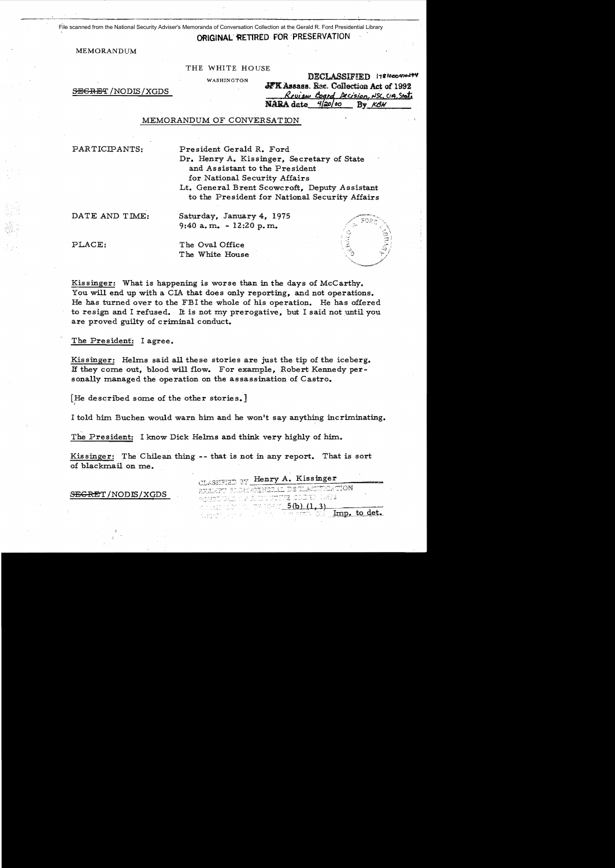File scanned from the National Security Adviser's Memoranda of Conversation Collection at the Gerald R. Ford Presidential Library

## ORIGINAL RETIRED FOR PRESERVATION

MEMORANDUM

THE WHITE HOUSE

WASHINGTON

 $S$ <del>ECRET</del> /NODIS/XGDS

|  | <b>DECLASSIVIED 1781000410477</b>                                  |
|--|--------------------------------------------------------------------|
|  | JFK Assass. Rec. Collection Act of 1992                            |
|  |                                                                    |
|  | Review Board Decision, NSC, CIA, Stat.<br>NARA date 4/20/00 By KBH |

## MEMORANDUM OF CONVERSATION

PARTICIPANTS: President Gerald R. Ford Dr. Henry A. Kissinger, Secretary of State and Assistant to the President for National Security Affairs

Lt. General Brent Scowcroft, Deputy Assistant to the President for National Security Affairs

DATE AND TIME: Saturday, January 4, 1975  $9:40$  a.m. - 12:20 p.m.

PLACE: The Oval Office The White House

Kissinger: What is happening is worse than in the days of McCarthy. You will end up with a CIA that does only reporting, and not operations. He has turned over to the FBI the whole of his operation. He has offered to resign and I refused. It is not my prerogative, but I said not until you are proved guilty of criminal conduct.

The President: I agree.

Kissinger: Helms said all these stories are just the tip of the iceberg. If they come out, blood will flow. For example, Robert Kennedy personally managed the operation on the assassination of Castro.

[He described some of the other stories.]

I told him Buchen would warn him and he won't say anything incriminating.

The President: I know Dick Helms and think very highly of him.

Kissinger: The Chilean thing -- that is not in any report. That is sort of blackmail on me.

> CLASSIFIED BY Henry A. Kissinger RXRMT TROMMENTELL DECLASSIFICATION **SCHIEDUME CFR** -1692

 $T^*$  there  $5(b)$   $(1, 3)$ A NATHER

Imp. to det.

SEGRET / NODIS / XGDS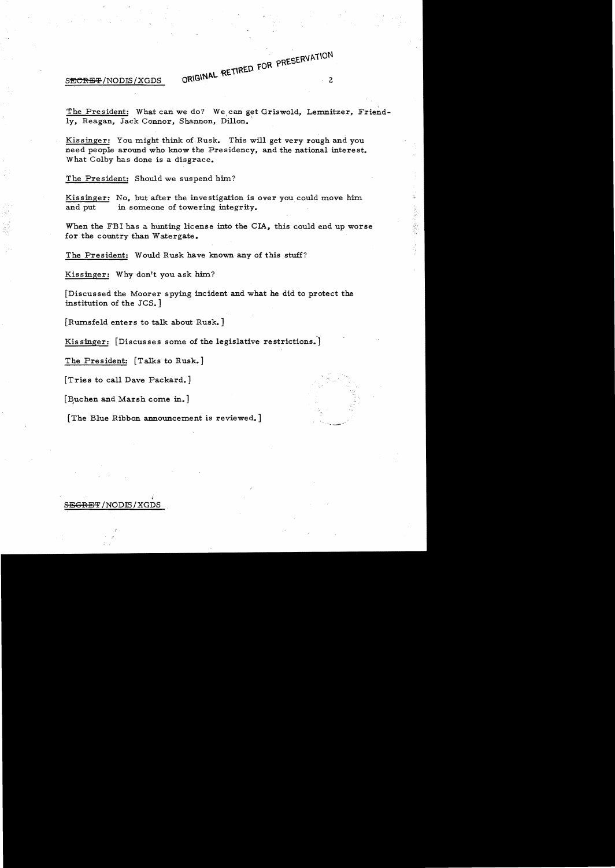SECRET/NODIS/XGDS

The President: What can we do? We can get Griswold, Lemnitzer, Friend ly, Reagan, Jack Connor, Shannon, Dillon.

ORIGINAL RETIRED FOR PRESERVATION

大学 のうしょう

Kissinger: You might think of Rusk. This will get very rough and you need people around who know the Presidency, and the national interest. What Colby has done is a disgrace.

The President: Should we suspend him?

Kissinger: No, but after the investigation is over you could move him and put in someone of towering integrity.

When the FBI has a hunting license into the CIA, this could end up worse for the country than Watergate.

The President: Would Rusk have known any of this stuff?

Kissinger: Why don't you ask him?

[Discussed the Moorer spying incident and what he did to protect the institution of the JCS.]

[Rumsfeld enters to talk about Rusk.]

Kis singer: [Discusses some of the legislative restrictions.]

The President: [Talks to Rusk.]

[Tries to call Dave Packard.]

[Buchen and Marsh come in.]

[The Blue Ribbon announcement is reviewed.]

## )  $S$ <del>EGRET</del>/NODIS/XGDS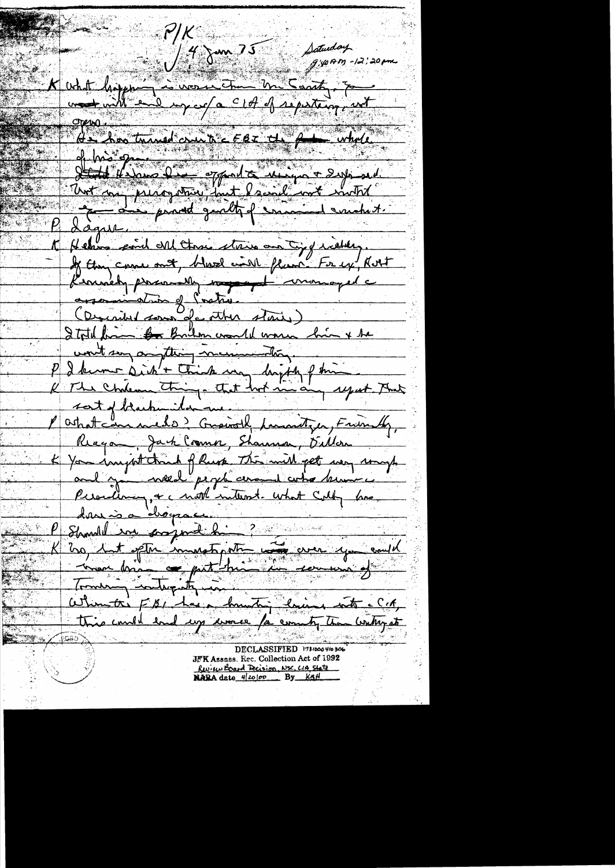$\mathsf{r}/\mathsf{K}$ Saturday  $14$  J m  $35$  $q$ :40AM -12:20pm What hopping is worse to the coath, so  $A = \frac{1}{\sqrt{2\pi}} \int_{0}^{2\pi} \frac{1}{\sqrt{2\pi}} \int_{0}^{2\pi} \frac{1}{\sqrt{2\pi}} \int_{0}^{2\pi} \frac{1}{\sqrt{2\pi}} \int_{0}^{2\pi} \frac{1}{\sqrt{2\pi}} \int_{0}^{2\pi} \frac{1}{\sqrt{2\pi}} \int_{0}^{2\pi} \frac{1}{\sqrt{2\pi}} \int_{0}^{2\pi} \frac{1}{\sqrt{2\pi}} \int_{0}^{2\pi} \frac{1}{\sqrt{2\pi}} \int_{0}^{2\pi} \frac{1}{\sqrt{2\pi}} \int_{0}^{2\$ of his open to the definition of the subject of the deposition of the deposition of the deposition of the deposition of the deposition of the deposition of the deposition of the deposition of the deposition of the depositi Lague K Helms come ont three stress and typ idder. Kennedy personnelly most monoged assamination of Poster (Described sous de other stairs) Ital from the Brilon would warm bin + be won't say anything mesurementary. P I kunne dicht think may happy f time<br>K The Chilean thing a that hook and any regart That ashat can medo? Grainolf Lumitzer, Friendly, Rega, Jack Comme, Shannon, Diller K You import tranh of Russ The will get way may Perocileman, + c mot interest. what Colly love, dans a drogeau. K 200 Let ofte immetigate com que could this could had up une /a county than water at DECLASSIFIED 178/0004/0306 JFK Assass. Rec. Collection Act of 1992 Review Board Decision, NSC, CIA State

NARA date 4/20100 By KAH